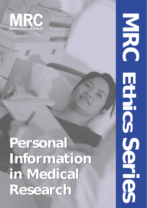

**Personal Personal Information Information in Medical in Medical Research Research**

MRC 20 *Ethics* **Series**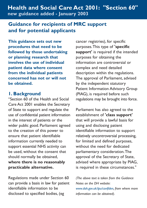# **Guidance for recipients of MRC support and for potential applicants**

**This guidance sets out new procedures that need to be followed by those undertaking or planning research that involves the use of individual patient data where consent from the individual patients concerned has not or will not be obtained.**

# **1. Background**

"Section 60 of the Health and Social Care Act 2001 enables the Secretary of State to support and regulate the use of confidential patient information in the interest of patients or the wider public good. Parliament agreed to the creation of this power to ensure that patient identifiable information currently needed to support essential NHS activity can be used, without the consent that should normally be obtained, **where there is no reasonably practicable alternative.**

Regulations made under Section 60 can provide a basis in law for patient identifiable information to be disclosed to specified bodies, (eg

cancer registries), for specific purposes.This type of **'specific support'** is required if the intended purposes for obtaining the information are controversial or complex and need detailed description within the regulations. The approval of Parliament, advised by the independent statutory Patient Information Advisory Group (PIAG), is required before such regulations may be brought into force.

Parliament has also agreed to the establishment of **'class support'** that will provide a lawful basis for using and disclosing patient identifiable information to support relatively uncontroversial processing, for limited and defined purposes, without the need for dedicated parliamentary consideration.The approval of the Secretary of State, advised where appropriate by PIAG, is required in these circumstances."

*(The above text is taken from the Guidance Notes on the DH website: www.doh.gov.uk/ipu/confiden, from where more information can be obtained).*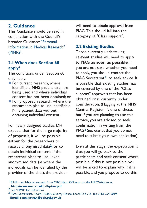# **2. Guidance**

This Guidance should be read in conjunction with the Council's broader Guidance: "Personal Information in Medical Research"  $(PIMR)^{\dagger}$ .

# **2.1 When does Section 60 apply?**

The conditions under Section 60 only apply:

- **For current research, where** identifiable NHS patient data are being used and where individual consent has not been obtained; or
- $\bullet$  For proposed research, where the researchers plan to use identifiable NHS patient data without obtaining individual consent.

For newly designed studies, DH expects that for the large majority of proposals, it will be possible **either** for the researchers to receive anonymised data2, **or** to obtain individual consent. If the researcher plans to use linked anonymised data (ie where the individuals can be identified by the provider of the data), the provider

will need to obtain approval from PIAG.This should fall into the category of "Class support".

# **2.2 Existing Studies**

Those currently undertaking relevant studies will need to apply to PIAG **as soon as possible**. If you are not sure whether you need to apply, you should contact the PIAG Secretariat $3$  to seek advice. It is possible that existing studies may be covered by one of the "Class support" approvals that has been obtained or is currently under consideration. (Flagging at the NHS Central Register is one of these, but if you are planning to use this service, you are advised to seek confirmation in writing from the PIAG<sup>3</sup> Secretariat that you do not need to submit your own application).

Even at this stage, the expectation is that you will go back to the participants and seek consent where possible. If this is not possible, you will be asked to explain why. If it is possible, and you propose to do this,

<sup>&</sup>lt;sup>1</sup> PIMR - available on request from MRC Head Office or on the MRC Website at: **http://www.mrc.ac.uk/pdf-pimr.pdf**<br><sup>2</sup> See "PIMR" for definitions

<sup>&</sup>lt;sup>3</sup> PIAG Secretariat, Room 1N35A, Quarry House, Leeds LS2 7U. Tel: 0113 254 6019. **Email: sean.kirwan@doh.gsi.gov.uk**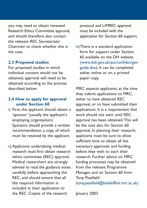you may need to obtain renewed Research Ethics Committee approval, and should therefore also contact the relevant REC Secretariats/ Chairmen to check whether this is the case.

## **2.3 Proposed studies**

For proposed studies in which individual consent would not be obtained, approval will need to be obtained according to the process described below:

# **2.4 How to apply for approval under Section 60**

- i) First, the applicant should obtain a 'sponsor' (usually the applicant's employing organisation). Sponsors should provide a written recommendation, a copy of which must be retained by the applicant.
- ii) Applicants undertaking medical research must first obtain research ethics committee (REC) approval. Medical researchers are strongly advised to read the guidance notes carefully before approaching the REC, and should ensure that all the required information is included in their application to the REC. Copies of the research

protocol and L/MREC approval must be included with the application for Section 60 support.

iii)There is a standard application form for support under Section 60 available on the DH website (www.doh.gov.uk/ipu/confiden/gen guide.doc). It can be completed either online or on a printed paper copy.

MRC expects applicants, at the time they submit applications to MRC, either to have obtained REC approval, or to have submitted their applications. It is a requirement that work should not start until REC approval has been obtained.This will be the case also for Section 60 approval. In planning their research, applicants must be sure to allow sufficient time to obtain all the necessary approvals and funding before they wish to start their research. Further advice on MRC funding processes may be obtained from the relevant Programme Manager, and on Section 60 from Tony Peatfield (tony.peatfield@headoffice.mrc.ac.uk)

January 2003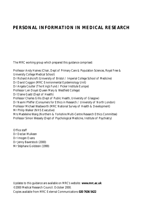# **PERSONAL INFORMATION IN MEDICAL RESEARCH**

The MRC working group which prepared this guidance comprised:

Professor Andy Haines (Chair, Dept of Primary Care & Population Sciences, Royal Free & University College Medical School) Dr Richard Ashcroft (University of Bristol / Imperial College School of Medicine) Dr David Coggon (MRC Environmental Epidemiology Unit) Dr Angela Coulter (The King's Fund / Picker Institute Europe) Professor Len Doyal (Queen Mary & Westfield College) Dr Elaine Gadd (Dept of Health) Professor Charles Gillis (Dept of Public Health, University of Glasgow) Dr Naomi Pfeffer (Consumers for Ethics in Research / University of North London) Professor Michael Wadsworth (MRC National Survey of Health & Development) Mr Philip Walker (NHS Executive) Mrs Madeleine Wang (Northern & Yorkshire Multi-Centre Research Ethics Committee) Professor Simon Wessely (Dept of Psychological Medicine, Institute of Psychiatry)

Office staff Dr Declan Mulkeen Dr Imogen Evans Dr Jenny Baverstock (2000) Mr Stéphane Goldstein (1999)

Updates to this guidance are available on MRC's website: **www.mrc.ac.uk** ©2000 Medical Research Council. October 2000. Copies available from MRC External Communications **020 7636 5422**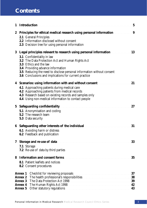# **Contents**

| 1               | <b>Introduction</b>                                                                                                                                                                                                                                                                                                                                                                                                                                                                                                                                                                    | $\overline{5}$             |  |  |  |  |  |
|-----------------|----------------------------------------------------------------------------------------------------------------------------------------------------------------------------------------------------------------------------------------------------------------------------------------------------------------------------------------------------------------------------------------------------------------------------------------------------------------------------------------------------------------------------------------------------------------------------------------|----------------------------|--|--|--|--|--|
| 2               | Principles for ethical medical research using personal information<br>2.1 General Principles<br>2.2 Information disclosed without consent<br>2.3 Decision tree for using personal information                                                                                                                                                                                                                                                                                                                                                                                          | 9                          |  |  |  |  |  |
|                 | 3 Legal principles relevant to research using personal information<br><b>3.1</b> Confidentiality in law<br><b>3.2</b> The Data Protection Act and Human Rights Act<br><b>3.3</b> Ethics and the law<br><b>3.4</b> Providing advance information<br>3.5 Reducing the need to disclose personal information without consent<br><b>3.6</b> Conclusions and implications for current practice                                                                                                                                                                                              | 13                         |  |  |  |  |  |
|                 | 4 Scenarios: using information with and without consent<br>4.1 Approaching patients during medical care<br>4.2 Approaching patients from medical records<br>4.3 Research based on existing records and samples only<br><b>4.4</b> Using non-medical information to contact people                                                                                                                                                                                                                                                                                                      | 21                         |  |  |  |  |  |
|                 | 5 Safeguarding confidentiality<br>5.1 Anonymisation and coding<br>5.2 The research team<br><b>5.3</b> Data security                                                                                                                                                                                                                                                                                                                                                                                                                                                                    |                            |  |  |  |  |  |
| 6               | Safeguarding other interests of the individual<br><b>6.1</b> Avoiding harm or distress<br><b>6.2</b> Feedback and publication                                                                                                                                                                                                                                                                                                                                                                                                                                                          | 31                         |  |  |  |  |  |
| $7\phantom{.0}$ | Storage and re-use of data<br>7.1 Storage<br>7.2 Re-use of data by third parties                                                                                                                                                                                                                                                                                                                                                                                                                                                                                                       | 33                         |  |  |  |  |  |
| 8               | Information and consent forms<br><b>8.1</b> Patient leaflets and notices<br><b>8.2</b> Consent procedures                                                                                                                                                                                                                                                                                                                                                                                                                                                                              | 35                         |  |  |  |  |  |
|                 | <b>Annex 1</b><br>Checklist for reviewing proposals<br>The health professional's responsibilities and an account of the contract of the state of the state of the state of the state of the state of the state of the state of the state of the state of the state of the state of th<br><b>Annex 2</b><br>The Data Protection Act 1998 [1998]<br><b>Annex 3</b><br>The Human Rights Act 1998<br><b>Annex 4</b><br>.<br>In the second complete state of the second complete state of the second complete state of the second complete<br>Other statutory regulations<br><b>Annex 5</b> | 37<br>38<br>39<br>42<br>43 |  |  |  |  |  |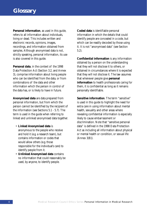**Personal information**, as used in this guide, refers to all information about individuals, living or dead. This includes written and electronic records, opinions, images, recordings, and information obtained from samples. Although anonymised data is not, strictly speaking, personal information, its use is also covered in this guide.

**Personal data**, in the context of the 1998 Data Protection Act (Section 3.2, and Annex 3), comprise information about living people who can be identified from the data, or from combinations of the data and other information which the person in control of the data has, or is likely to have in future.

**Anonymised data** are data prepared from personal information, but from which the person cannot be identified by the recipient of the information (see Sections 5.1 - 5.7). The term is used in the guide when referring to linked and unlinked anonymised data together.

- **Linked Anonymised data** is anonymous to the people who receive and hold it (e.g. a research team), but contains information or codes that would allow others (e.g. those responsible for the individual's care) to identify people from it.
- **Unlinked Anonymised data** contains no information that could reasonably be used, by anyone, to identify people.

**Coded data** is identifiable personal information in which the details that could identify people are concealed in a code, but which can be readily decoded by those using it. It is not "anonymised data" (see Section 5.2).

**Confidential information** is any information obtained by a person on the understanding that they will not disclose it to others, or obtained in circumstances where it is expected that they will not disclose it. The law assumes that whenever people give **personal information** to health professionals caring for them, it is confidential as long as it remains personally identifiable.

**Sensitive information**. The term "sensitive" is used in this guide to highlight the need for extra care in using information about mental health, sexuality and other areas where revealing confidential information is especially likely to cause embarrassment or discrimination. Note that "sensitive personal data" is defined in the 1998 Data Protection Act as including all information about physical or mental health or condition, or sexual life (Annex 3(B)).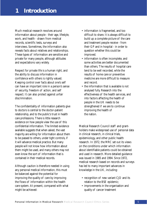Much medical research revolves around information about people - their age, lifestyle, work, and health - drawn from medical records, scientific tests, surveys and interviews. Sometimes, the information also reveals facts about relatives and relationships. These types of information are sensitive and private for many people, although attitudes and expectations vary widely.

Respect for private life is a human right, and the ability to discuss information in confidence with others is rightly valued. Keeping control over facts about one's self can have an important role in a person's sense of security, freedom of action, and self respect. It can also protect against unfair discrimination.

The confidentiality of information patients give to doctors is central to the doctor-patient relationship, and to the public's trust in health care professions. There is little research evidence on how people view the use of this confidential information. The limited evidence available suggests that when asked, the vast majority are willing for information about them to be passed to others, under tight controls, if it will advance medical practice. But many people will not know how information about them might be used, and many others may not even know the sort of information that is contained in their medical records.

Although caution is therefore needed in using any personal medical information, this must be balanced against the potential for improving the quality of care by improving the flows of information within the health care system. At present, compared with what might be achieved:

- information is fragmented, and too difficult to share. It is always difficult to build up a complete picture of the care and treatment people receive - from their GP and in hospital - in order to question whether this could be improved.
- information is often incomplete, and some activities are better documented than others. The results of hospital care tend to be well recorded, while the results of home care or preventive medicine are more difficult to measure and record.
- the information that is available is not analysed fully. Research into the effectiveness of the health services, and into factors affecting the health of people in the UK needs to be strengthened if we are to continue improving the health of the nation.

Medical Research Council staff and grantholders make widespread use of personal data in clinical research, in clinical trials, epidemiology, and other public health research. In 1972, the MRC set out its views on the conditions under which information about identifiable patients could be obtained and used in research. More detailed guidance was issued in 1985 and 1994. Since 1972, medical research based on records and surveys has led to many important advances in knowledge in the UK, including:

- recognition of new variant CJD and its relation to the BSE epidemic;
- improvements in the organisation and quality of cancer treatment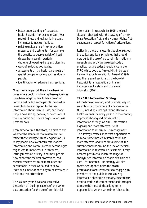- better understanding of suspected health hazards - for example, Gulf War related illness and leukaemia in people living near to nuclear facilities;
- reliable evaluations of new preventive measures and treatments - for example, the benefits to people at risk of heart disease from aspirin, warfarin, cholesterol lowering drugs and vitamins;
- ways of reducing cot deaths;
- assessments of the health care needs of special groups in society, such as elderly people;
- identification of adverse drug reactions.

Over the same period, there have been no cases where doctors following these guidelines have been judged in law to have breached confidentiality. But some people involved in research do take exception to the way information about them is used, and many people have strong, general, concerns about the way public and private organisations use personal data.

From time to time, therefore, we have to ask whether the standards that researchers set reflect those society currently expects of us. Many people have a concern that modern information and communication technologies might lead to more casual, or frequent, infringements of privacy. And most people now expect the medical professions, and medical researchers, to be more open and accountable in their work, and to allow individuals more opportunity to be involved in decisions that affect them.

The last few years have also seen active discussion of the implications of the law on data protection for the use of confidential

information in research. In 1998, the legal situation changed, with the passing of a new Data Protection Act, and a Human Rights Act guaranteeing respect for citizens' private lives.

Reflecting these changes, this booklet sets out the ethical and legal principles that should now guide the use of personal information in research, and provides a revised code of practice. It supersedes the guidance in the MRC ethics booklet *Responsibility in the use of Personal Medical Information for Research* (1994) and the relevant sections of the booklet *Responsibility in Investigations on Human Participants and Material and on Personal Information* (1992).

### *The NHS Information Strategy*

At the time of writing, work is under way on an ambitious programme of changes in the NHS, including creating lifelong electronic health records for every person in the country, improved sharing and movement of information through an NHS information highway, and more effective use of information to inform NHS management. The strategy creates important opportunities to make some medical research easier and more effective, and to address some of the current concerns around the use of medical information in research. For example, it may become possible to widen the range of anonymised information that is available and useful for research. The strategy will also create new opportunities for health professionals and researchers to engage with members of the public to explain why information sharing is necessary. Researchers need to work with commitment and foresight to make the most of these long-term opportunities. At the same time, it has to be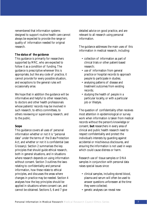remembered that information systems designed to support routine health care cannot always be expected to provide the range or quality of information needed for original research.

#### *The status of the guidance*

This guidance is primarily for researchers supported by MRC, who are expected to follow it as a condition of funding. The guidance is prescriptive wherever this is appropriate, but like any code of practice, it cannot provide for every possible situation, and exceptions to the general rules will occasionally arise.

We hope that in addition the guidance will be informative and helpful to other researchers, to doctors and other health professionals whose patients' records may be involved in such research, to ethics committees, to others reviewing or supervising research, and to the public.

#### *Scope*

This guidance covers all uses of personal information whether or not it is "personal data" under the terms of the Data Protection Act, and whether or not it is confidential (see Glossary). Section 2 summarises the key principles that should guide ethical research, both in general situations, and in situations where research depends on using information without consent. Section 3 outlines the laws relating to confidentiality and personal information, how these relate to ethical principles, and discusses the areas where changes in practice may be needed. Section 4 analyses how the key principles should be applied in situations where consent can, and cannot be obtained. Sections 5, 6 and 7 give

detailed advice on good practice, and are relevant to all research using personal information.

The guidance addresses the main uses of this information in medical research, including:

- collection of information as part of clinical trials or other patient-based research;
- use of information from general practice or hospital records to approach people to participate in studies;
- analysing patterns of disease and treatment outcomes from existing records;
- studying the health of people in a particular locality, or with a particular job or lifestyle.

The question of confidentiality often receives most attention in epidemiological or survey work when information is taken from medical records without the person's knowledge or consent, **but** researchers in every area of clinical and public health research need to respect confidentiality and protect the individual's interests by guarding against accidental or mischievous disclosures, and ensuring the information is not used in ways which could cause distress or harm.

Research use of tissue samples or DNA samples in conjunction with personal data raises special issues since:

- clinical samples, including stored blood, plasma and serum will often be used to answer questions unforeseen at the time they were collected;
- genetic analyses can reveal new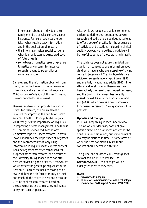information about an individual, their family members or raise concerns about insurance. Particular care needs to be taken when feeding back information and in the publication of material;

- this information raises special concerns when it is, or is seen as being, predictive of future health;
- some types of genetics research give rise to particular concern - for instance research relating to personality or cognitive function.

Samples, and the information obtained from them, cannot be treated in the same way as other data, and are the subject of separate MRC guidance *Collections of Human Tissue and Biological Samples for use in research.*

Disease registries often provide the starting points for research, and are an essential resource for improving the quality of health services. The NHS Plan<sup>1</sup> published in July 2000 recognises the importance of registries in improving disease management. The House of Commons Science and Technology Committee report "Cancer research - a fresh look"2 underlined the importance of registries, and the impracticability of only using information in registries with express consent. Because registries are often established for purposes other than research, and because of their diversity, this guidance does not offer detailed advice on good practice. However, we would expect the general principles set out in Section 2 - such as the need to make people aware of how their information may be used and much of the advice in Sections 5 through 7, to be applicable to research based on disease registries, and to registries maintained solely for research purposes.

Also, while we recognise that it is sometimes difficult to define clear boundaries between research and audit, this guide does not attempt to offer a code of practice for the wide range of activities and situations included in clinical audit. However, we hope that the advice will be helpful to some of those working in audit.

The guidance does not address in detail the question of consent to use information about children, or adults who are incapable of giving consent. Separate MRC ethics booklets give advice on research involving children (1991) and mentally incapacitated adults (1991). The ethical and legal issues in these areas have been actively discussed over the past ten years, and the Scottish Parliament has recently passed the Adults with Incapacity (Scotland) Act (2000), which creates a new framework for consent to research. New guidance will be prepared.

### *Updates and changes*

MRC will keep this guidance under review. The law on confidentiality does not give specific direction on what can and cannot be done in various situations, but some points of law may be clarified in time. In some areas of work, the need for disclosures without consent should decrease with time.

This guide, and all other MRC ethics guides, are available on MRC's website – at **www.mrc.ac.uk** – and changes will be highlighted there as they arise.

#### **Notes**

- **1 www.nhs.uk/nhsplan**
- **2 House of Commons Science and Technology Committee, Sixth report, Session 1999-2000**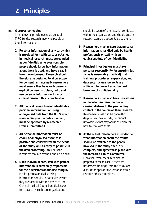#### **General principles 2.1**

The following principles should guide all MRC-funded research involving people or their information:

- **1 Personal information of any sort which is provided for health care, or obtained in medical research, must be regarded as confidential. Wherever possible people should know how information about them is used, and have a say in how it may be used. Research should therefore be designed to allow scope for consent, and normally researchers must ensure they have each person's explicit consent to obtain, hold, and use personal information. In most clinical research this is practicable.**
- **2 All medical research using identifiable personal information, or using anonymised data from the NHS which is not already in the public domain, must be approved by a Research Ethics Committee.3**
- **3 All personal information must be coded or anonymised as far as is possible and consistent with the needs of the study, and as early as possible in the data processing.** Only personal identifiers that are essential should be held.
- **4 Each individual entrusted with patient information is personally responsible for their decisions about disclosing it.** Health professionals disclosing information should, in particular, ensure they are familiar with the advice of the General Medical Council on disclosures for research. Health care organisations

should be aware of the research conducted within the organisation, and should ensure research teams are accountable to them.

- **5 Researchers must ensure that personal information is handled only by health professionals or staff with an equivalent duty of confidentiality.**
- **6 Principal investigators must take personal responsibility for ensuring (as far as is reasonably practical) that training, procedures, supervision, and data security arrangements are sufficient to prevent unauthorised breaches of confidentiality.**
- **7 Researchers must also have procedures in place to minimise the risk of causing distress to the people they contact in the course of their research.** Researchers must also be aware that, despite their best efforts, occasional untoward events may occur and plan for how to deal with these.
- **8 At the outset, researchers must decide what information about the results should be available to the people involved in the study once it is complete, and agree these plans with the Research Ethics Committee.** However, researchers must also be prepared to reconsider if there are unforeseen findings from the study, and discuss the appropriate response with a research ethics committee.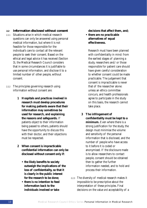#### **Information disclosed without consent 2.2**

- Situations arise in which medical research questions can only be answered using personal medical information, but where it is not feasible for those responsible for the individual's care to contact all the relevant people to seek their consent. Based on the ethical and legal advice it has received (Section 3), the Medical Research Council considers that in some circumstances it is justifiable to use personal information, and disclose it to a limited number of other people, without consent. 2.2.1
- The principles governing research using 2.2.2 information without consent are:
	- **1 Hospitals and practices involved in research must** *develop* **procedures for making patients aware that their information may sometimes be used for research, and explaining the reasons and safeguards.** If patients object to their information being passed to others, patients should have the opportunity to discuss this with their doctor, and their objections must be respected.
	- **2 When consent is impracticable confidential information can only be disclosed without consent only if:**
		- **the likely benefits to society outweigh the implications of the loss of confidentiality, so that it is clearly in the public interest for the research to be done;**
		- **there is no intention to feed information back to the individuals involved or take**

**decisions that affect them, and; • there are no practicable alternatives of equal effectiveness.**

Research must have been planned with confidentiality in mind: from the earliest stages of planning a study, researchers and/or those responsible for patient care should have given careful consideration to whether consent could be made practicable. The judgement that consent is impracticable is never that of the researcher alone: unless an ethics committee concurs, and health professionals agree to participate in the study on this basis, the research cannot take place.

- **3 The infringement of confidentiality must be kept to a minimum.** Even where there is a strong justification for the study, the design must minimise the volume and sensitivity of the personal information that is disclosed, and the number of people who have access to it before it is coded or anonymised. If the disclosure made is to allow researchers to contact people, consent should be obtained then to gather the further information needed, and to hold and process their information.
- The diversity of medical research makes it 2.2.3impossible to be prescriptive about the interpretation of these principles. Final decisions on the value *and* acceptability of a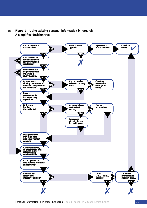**2.3** *Figure 1 – Using existing personal information in research* **A simplified decision tree**

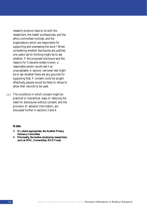research protocol have to lie with the researchers, the health professionals, and the ethics committee involved, and the organisations which are responsible for supporting and overseeing the work.4 When considering whether disclosures are justified, one useful aid to thinking might be to ask whether, if the proposed disclosure and the reasons for it became widely known, a reasonable person would see it as unacceptable. A second, narrower test might be to ask whether there are any grounds for supposing that, if consent could be sought effectively, people would be likely to refuse to allow their records to be used.

The conditions in which consent might be 2.2.4practical or impractical, ways of reducing the need for disclosures without consent, and the provision of advance information, are discussed further in sections 3 and 4.

#### **Notes**

- **3 Or, where appropriate, the Scottish Privacy Advisory Committee**
- **4 Principally, the bodies employing researchers, such as MRC, Universities, NHS Trusts**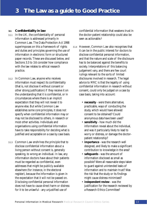#### **Confidentiality in law 3.1**

- In the UK, the confidentiality of personal information is addressed primarily in Common Law. The Data Protection Act 1998 superimposes on this a framework of rights and duties and principles governing the use of information in electronic form or structured paper records. These are discussed below, and Sections 3.3 to 3.6 consider how compliance with the law relates to ethical research practice. 3.1.1
- In Common Law, anyone who receives 3.1.2 information must respect its confidentiality (that is, not disclose it without consent or other strong justification) if they receive it on the understanding that it is confidential, or in circumstances where there is an implicit expectation that they will not reveal it to anyone else. But while Common Law establishes some core principles, it does not specify when confidential information may or may not be disclosed to others, in research or most other activities. Individuals and organisations using confidential information have to take responsibility for deciding what is justified and acceptable on a case by case basis.
- Common Law enshrines the principle that to 3.1.3disclose confidential information about a living person without consent is, generally speaking, to wrong an individual. In law, any information doctors have about their patients must be regarded as confidential, even addresses that might be publicly available elsewhere (for instance, in the electoral register), because the information is given in the expectation that it will not be passed on. Disclosing confidential personal information does not have to cause direct harm or distress for it to be unlawful - any unjustified use of

confidential information that weakens trust in the doctor-patient relationship could also be seen as actionable.<sup>5</sup>

- 3.1.4 However, Common Law also recognises that it can be in the public interest for doctors to disclose confidential personal information, and that the nature and scale of the disclosure has to be balanced against the benefits to society. Interpretations of this balancing judgement vary, and there are few court rulings relevant to the sorts of limited disclosures involved in research. The legal advice to MRC is that the legality of using confidential information in research without consent, could only be judged on a case by case basis, taking into account:
	- **necessity** were there alternative, practicable, ways of conducting the study, which would have allowed consent to be obtained? Could anonymous data have been used?
	- **sensitivity** how much did the information reveal about the individual, and was it particularly likely to lead to worry or distress, or damage the doctorpatient relationship?
	- **importance** was the research well designed, and likely to make a significant contribution to knowledge in the area?
	- **safeguards** was the amount of information disclosed as small as possible? Were all reasonable steps taken to guard against unintended leaks of information and to maintain trust? Was the risk that the study or its findings might cause distress minimised?
	- **independent review** was the justification for the research reviewed by a Research Ethics Committee?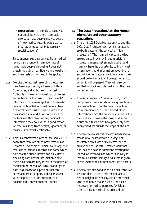• **expectations** - if explicit consent was not possible, were there reasonable efforts to make people involved aware of how medical records were used, so they had an opportunity to raise any special concerns?

Since anonymised data derived from medical records is no longer information about identifiable people, disclosing it does not breach the duty of confidence to the patient, and these tests do not need to be applied.

- Despite the fact that research projects may 3.1.5 have been approved by a Research Ethics Committee, and authorised by a Health Authority or Trust, individual doctors remain accountable for their use of their patients' information. The same applies to those who receive confidential information: members of a research team must always be aware that they share a similar duty of confidence to doctors, and that revealing any personal information they hold without good reason whether resulting from neglect, ignorance, or malice - is potentially actionable.
- This is a controversial area of law, and MRC is 3.1.6aware that there are other interpretations of Common Law, some of which would argue for freer use of personal records, and some which hold that the public interest can only justify disclosing confidential information where there is an extraordinary threat to the health of the nation or individuals. MRC has sought to base its guidance on a position that can command broad support, and is consistent with the policies of the Department of Health6 and General Medical Council.7

## **The Data Protection Act, the Human 3.2 Rights Act and other statutory regulations**

- The UK's 1984 Data Protection Act, and the 3.2.1 1998 Data Protection Act, which replaces it, are both based on the concept of "fair processing". The main principles in the law are explained in Annex 3, but in brief, fair processing means that an individual should normally have the opportunity to know what organisations hold information about them, and why. When people give information, they should be told what it will be used for and to whom it will be passed. They will also be entitled to check records held about them and correct errors.
- 3.2.2 The Act covers only "personal data", which comprises information about living people who can be identified from the data, or identified from combinations of the data and other information which the person in control of the data is likely to have, either now, or at some future time. Data which have previously been anonymised are outside the scope of the Act.
- The law recognises that research needs special 3.2.3 freedom to use information in ways not foreseen when it was first collected, and to archive and re-use data. Research work that is not used as a basis for decisions affecting the individuals involved, and which is unlikely to lead to substantial damage or distress, is given special exemptions in these areas (see Annex 3).
- The law also sets conditions on when "sensitive 3.2.4 personal data", such as information about health, religion, or ethnicity, can be processed. One condition is that the use of the data is necessary for medical purposes, (which are taken to include medical research and the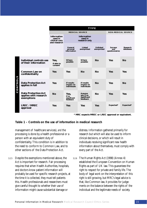|          |                                                            | <b>TYPE</b>                                             |                                                |                                                 |                        |                                         |                       |  |  |
|----------|------------------------------------------------------------|---------------------------------------------------------|------------------------------------------------|-------------------------------------------------|------------------------|-----------------------------------------|-----------------------|--|--|
|          |                                                            | <b>MEDICAL SOURCE</b>                                   |                                                |                                                 |                        | <b>NON-MEDICAL SOURCE</b>               |                       |  |  |
|          |                                                            | Information<br>used in<br>clinical care<br>and research | <b>Information</b><br>used in<br>research only |                                                 |                        |                                         |                       |  |  |
|          |                                                            |                                                         | General<br>personal<br>information             | Linked<br>anonymised                            | Unlinked<br>anonymised | <b>Surveys</b><br>and<br>questionnaires | Research<br>databases |  |  |
|          | Individual controls use<br>of their information            | Yes,<br>if able to<br>consent                           | Where<br>possible                              | Where<br>possible                               | <b>No</b>              | Yes                                     | <b>No</b>             |  |  |
|          | Common Law on<br>confidentiality                           | Yes                                                     | <b>Yes</b>                                     | <b>No</b>                                       | <b>No</b>              | Yes                                     | Yes                   |  |  |
| CONTROLS | <b>Data Protection Act</b><br>applies in full              | Yes                                                     | If results<br>impact on<br>individuals         | If results<br>impact on<br>individuals          | <b>No</b>              | Yes                                     | <b>No</b>             |  |  |
|          | Data Protection Act<br>applies with research<br>exemptions | <b>No</b>                                               | Yes,<br>if no<br>significant<br>feedback       | Assume<br>yes, if no<br>significant<br>feedback | <b>No</b>              | Yes                                     | Yes                   |  |  |
|          | LREC / MREC<br>approval                                    | Yes                                                     | <b>Yes</b>                                     | Yes                                             | Yes                    | Expected*                               | Expected*             |  |  |
|          | * MRC expects MREC or LREC approval or equivalent.         |                                                         |                                                |                                                 |                        |                                         |                       |  |  |

*Table 1 – Controls on the use of information in medical research*

management of healthcare services), *and* the processing is done by a health professional or a person with an equivalent duty of confidentiality. This condition is in addition to the need to conform to Common Law, and to other sections of the Data Protection Act.

Despite the exemptions mentioned above, the 3.2.5 3.2.6Act is important for research. Fair processing requires that when Health Authorities, hospitals, and doctors know patient information will probably be used for specific research projects, at the time it is collected, they must tell patients this. Health professionals and researchers must give careful thought to whether their use of information might cause substantial damage or

distress. Information gathered primarily for research but which will also be used to inform clinical decisions, or which will result in individuals receiving significant new health information about themselves, must comply with every part of the Act.

The Human Rights Act (1998) (Annex 4) established the European Convention on Human Rights as part of UK law. This guarantees the right to respect for private and family life. The body of legal work on the interpretation of this right is still growing, but MRC's legal advice is that, like Common law, it provides for judgements on the balance between the rights of the individual and the legitimate needs of society.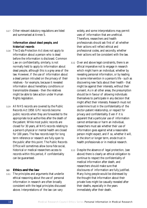Other relevant statutory regulations are listed 3.2.7and summarised at Annex 5.

### *Information about dead people, and historical records*

- The Data Protection Act does not apply to 3.2.8 information about a person who is dead before the information is disclosed. Common Law on confidentiality, similarly, is not normally held to apply to information about dead people, although this is a grey area of the law. However, if the use of information about a dead person intruded on the privacy of their relatives - for example, because it revealed information about hereditary conditions or transmissible diseases - then the relatives might be able to take action under Human Rights legislation.
- All NHS records are covered by the Public 3.2.9 Records Act 1958: GPs' records become public records when they are forwarded to the appropriate local authorities after the death of the patient. While most public records are closed for 30 years, all NHS records relating to a person's physical or mental health are closed for 100 years. The few records kept for long term reference or research are fully open to the public after this point. The Public Records Office will sometimes allow bona fide social, historical or medical researchers access to records within this period, if confidentiality can be guaranteed.

#### **Ethics and the law 3.3**

The principles and arguments that underlie ethical reasoning about the use of personal information in research are often broadly consistent with the legal principles discussed above. Interpretations of the law can vary 3.3.1

widely, and some interpretations may permit uses of information that are unethical. Therefore, researchers and health professionals should ask first of all whether their actions will reflect ethical and professional codes, and secondly, whether their actions will be consistent with the law.

- Over and above legal constraints, there is an 3.3.2 ethical imperative not to engage in research which might harm an individual, whether by revealing personal information, or by leading to some intervention in a person's life - such as discovering new facts about their health - that might be against their interests, without their consent. As in all other areas, the presumption should be in favour of allowing individuals themselves to participate in any decision that might affect their interests. Research must not undermine trust in the confidentiality of the doctor-patient relationship, or respect for privacy and confidentiality. Even if it is apparent that a particular use of information cannot embarrass or harm an individual, researchers must ask whether their use of information goes against what a reasonable person might expect, and if so, whether it will, in the short or longer term, erode trust in health professionals or in medical research.
- Despite the absence of legal protection, (see 3.3.3 above) there is clearly an ethical obligation to continue to respect the confidentiality of medical information after death, and researchers should make sure that disclosures of information are fully justified. Many living people would be distressed by the thought that information about their private lives might be casually revealed after their deaths, especially in the years immediately after their death.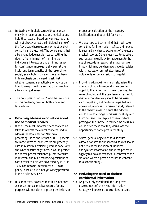- In dealing with disclosures without consent, many international and national ethical codes hold that research based only on records that will not directly affect the individual is one of the few areas where research without explicit consent can be justified. The consensus is that a balancing judgement is needed, setting the risks - often minimal - of harming the individual's interests or undermining respect for confidences more generally, against the likely long-term benefits of the research for society as a whole. However, there has been little emphasis on the need to ask first whether consent is practicable, or advice on how to weigh the different factors in reaching a balancing judgement. 3.3.4
- The principles in Section 2, and the remainder 3.3.5 of this guidance, draw on both ethical and legal advice.

#### **Providing advance information about use of medical records 3.4**

- One of the most important steps that can be 3.4.1 taken to address the ethical concerns, and to address the legal need for "fair data processing", is to ensure that all NHS patients, are made aware of how records are generally used in research. Explaining what is done, why, and what benefits might accrue, would protect the doctor-patient relationship, improve trust in research, and build realistic expectations of confidentiality. This was advocated by MRC in 1986, and became Department of Health policy in 19969, but is not yet widely practised in the Health Service.10
- 3.4.2 It is important, however, that this is not seen as consent to use medical records for any purpose, without either express permission, or

proper consideration of the necessity, justification, and potential for harm.

- We also have to bear in mind that it will take 3.4.3 some time for information leaflets and notices to substantially change awareness of the uses of medical records. Other steps need to be taken, such as asking explicitly for agreement to the use of records in research at an appropriate time, which may be when new patients register with practices, or on first attendance at outpatients, or on admission to hospital.
- Providing advance information also raises the 3.4.4 question of how to respond when people object to their information being disclosed for research outside of the care team. A request for absolute confidentiality should be discussed with the patient, and has to be respected in all normal situations.11 If a research study relevant to their health arose in future, their doctor would have to arrange to discuss the study with them and seek their explicit consent before passing on their name: in reality, time pressures would often mean that they would lose the opportunity to participate in the study.
- Stated, general objections to disclosure without consent for unspecified studies should not prevent the inclusion of unlinked anonymised information about the patient in aggregated data or statistics (in contrast to the situation where a person declines to consent to a specific study). 3.4.5

# **Reducing the need to disclose 3.5 confidential information**

As previously mentioned, the long term 3.5.1 development of the NHS Information Strategy will present opportunities to avoid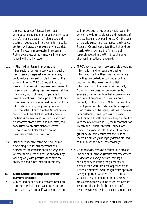disclosures of confidential information without consent. Better arrangements for data transfer, standardisation of diagnostic and treatment codes, and improvements in quality control, will gradually make anonymised data from IT systems more useful in research. Public awareness of how medical information is used will also increase.

- 3.5.2 In the medium term, improving the infrastructure for health services and public health research, especially in primary care, could reduce the need for disclosures, or their scale. Within the MRC's General Practice Research Framework, the presence of research nurses in participating practices means that the preliminary work of selecting patients to receive invitations to participate in clinical trials or surveys can sometimes be done without any information leaving the primary care team until the patient has consented. Where patient details have to be checked centrally before invitations are sent, medical details can often be separated from names and addresses, and codes used to produce standard letters prepared without clerical staff seeing identifiable medical information.
- Other primary care networks have, or are 3.5.3 developing, similar arrangements and procedures. Researchers should always ask whether their questions can be answered by working only with practices that have the ability to handle information in this way.

#### **Conclusions and implications for current practice 3.6**

Clinical and public health research based on, or using, medical records and other personal information is essential if we are to continue 3.6.1

to improve public health and health care - in which individuals, as citizens and members of society, have an obvious interest. On the basis of the advice summarised above, the Medical Research Council considers that it should be possible to undertake the full range of research needed in the UK, though some changes in practice are needed.

- MRC's advice to health professionals providing 3.6.2 information, and to researchers using information, is that they must remain aware that they can be held accountable for their decisions on the use of confidential information. On the question of consent, Common Law does not provide specific answers on when confidential information can and cannot be passed to others without consent, but the advice to MRC has been that use of personal information without explicit prior consent can be legally justified in certain circumstances. Health professionals and doctors must therefore ensure they are familiar with the advice from MRC, the Department of Health, the General Medical Council, and other bodies and should closely follow these guidelines to help ensure that their use of records is ethically and legally defensible, and to minimise the risk of any challenges.
- Confidentiality remains a contentious area of 3.6.3law, and MRC cannot *guarantee* that researchers or doctors will *always* be safe from legal challenges by following the guidelines, or because their work has been approved by an Ethics Committee, even though ethics approval is very important. As the General Medical Council advises: "The decision of a research ethics committee would be taken into account by a court if a claim for breach of confidentiality were made, but the court's judgement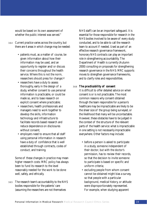would be based on its own assessment of whether the public interest was served."

- Current practice varies across the country, but 3.6.4 there are 4 areas in which change may be needed:
	- patients must, as a matter of course, be given information about how their information may be used, and an opportunity to register and/or discuss their concerns throughout the health service. Where this is not the norm, researchers should press for change;12
	- researchers have a duty to assess thoroughly, early in the design of a study, whether consent to use personal information is practicable, or could be made so, and to base research on explicit consent where practicable;
	- researchers, health professionals and managers need to work together to develop the skills, information technology and infrastructure to facilitate records based research and reduce dependence on disclosures without consent;
	- employers need to ensure that all staff using personal information in research have a duty of confidence that is well established through contracts, codes of conduct, and training.

Some of these changes in practice may mean higher research costs: MRC policy has always been to fund its research to the level reasonably needed for the work to be done well, safely, and ethically.

The research team's accountability to the NHS 3.6.5 bodies responsible for the patients' care (assuming the researchers are not themselves

NHS staff) can be an important safeguard. It is essential for those responsible for research in the NHS bodies involved to be aware of every study conducted, and to be able to call the research team to account if needed. Used as part of an effective research governance framework, honorary NHS contracts can play an important role in strengthening accountability. The Department of Health is currently (Autumn 2000) consulting on proposals for strengthening research governance in the NHS: MRC supports moves to strengthen governance frameworks, and to clarify roles and responsibilities.

### *The practicability of consent* 3.6.6

It is difficult to offer detailed advice on when consent is or is not practicable. The most common reasons why consent obtained through the team responsible for a person's healthcare may be impracticable are likely to be the sheer size of the group being surveyed, or the likelihood that many will be uncontactable. However, these obstacles have to be judged in the context of the structure of the relevant parts of the health service: what is impracticable in one setting is not necessarily impracticable everywhere. Other factors may include:

- before a person is asked to participate in a study, someone independent of their doctor, but with the doctor's permission, has to review their records, so that the decision to invite someone to participate is based on specific and uniform criteria;
- excluding people from whom consent cannot be obtained might bias a survey, so that people with a particular background, medical history, or attitude were disproportionately represented. For example, when studying apparent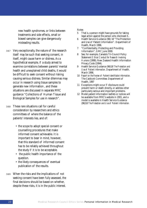new health syndromes, or links between treatments and side effects, small or biased samples can give dangerously misleading results.

- Very exceptionally, the nature of the research 3.6.7 itself may be such that seeking consent, in itself, might cause harm or distress. As a hypothetical example, if a study aimed to examine correlations between parents' mental health and unexplained child deaths, it would be difficult to seek consent without risking causing serious distress. Similar dilemmas may occur in research using tissue samples to generate new information , and these situations are discussed in separate MRC guidance "Collections of Human Tissue and Biological Samples for use in research".
- These rare situations call for careful consideration by researchers and ethics committees of where the balance of the patients' interests lies, and of: 3.6.8
	- the scope to adopt special consent or counselling procedures that make informed consent achievable. It is important to bear in mind, however, that this standard of informed consent has to be reliably achieved throughout the study if it is to be acceptable.
	- the public health importance of the question.
	- the likely consequences of eventual publication of the results.
- When the risks and the implications of not 3.6.9seeking consent have been fully assessed, the final decisions should be based on whether, despite these risks, it is in the public interest.

#### Notes

- 5 That is, a person might have grounds for taking legal action against the person who disclosed it..
- 6 Health Service Guidance (96) 18 "The Protection and Use of Patient Information". Department of Health, March 1996.
- 7 "Confidentiality: Protecting and Providing Information", GMC June 2000.
- 8 See, for example, Canada's Tri-Council Policy Statement *Ethical Conduct for Research Involving Humans* (1998); New Zealand Health Information Privacy Code (1994).
- 9 Health Service Guidance (96)18 *The Protection and Use of Patient Information.* Department of Health, March 1996.
- 10 *Report on the Review of Patient-Identifiable Information.* The Caldicott Committee. Department of Health, 1997
- 11 Exceptions might occur if disclosure could prevent harm or death directly, or address other particularly serious and important problems.
- 12 Model patient information leaflets or notices will be available from MRC's website in 2001, and a model is available in Health Service Guidance (96)18 *The Protection and Use of Patient Information.*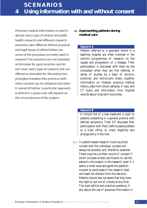**SCENARIOS 4 Using information with and without consent**

**Personal medical information is used in almost every type of clinical and public health research, and different research scenarios raise different ethical, practical and legal issues. Outlined below are some of the processes currently used in research.The scenarios are not intended as formulae for good practice, and do not cover every type of research, but are offered as examples for discussing how principles translate into practice, both when consent can be obtained and when it cannot.Whether a particular approach is ethical in a given case will depend on the circumstances of the project.**

## **Approaching patients during 4.1 medical care**

#### *Scenario A*

Patients referred to a specialist centre in a teaching hospital are often involved in the centre's programmes of research on the causes and progression of a disease. Their participation is discussed with them by the consultant when they are first referred. A series of studies by a team of doctors, scientists and technicians draws together information on lifestyle, previous medical history, data from blood samples, X-rays, and CT scans, and information from hospital records about long-term outcomes.

#### *Scenario B*

A clinical trial of a new treatment is open to patients presenting in a general practice with defined symptoms. Their GP discusses their participation with them, before passing details to a trials office, to check eligibility and arrange entry in the trial.

In patient-based research involving direct 4.1.1 contact with the individual, consent will always be possible, and, therefore, essential. There must be a written record of consent.<sup>13</sup> which includes written permission to use the patient's information in the research, even if it seems a small issue alongside the patient's consent to participate in the research itself, and need not distract from this decision. Patients should also be aware that they have the right to opt out of a study at any time. The main ethical and practical questions, if any, about the use of personal information in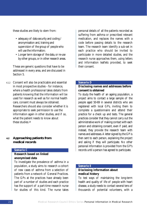these studies are likely to stem from:

- adequacy of data security and coding / anonymisation and, training and supervision of the group of people who will use the information;
- Longer term storage of the data, or re-use by other groups, or in other research areas.

These are generic questions that have to be addressed in every area, and are discussed in Section 5.

Consent will also be practicable and essential 4.1.2 in most prospective studies - for instance, where a health professional takes details from patients knowing that the information will be used for research as well as for normal health care, consent must always be obtained. Researchers should also consider whether it is appropriate to seek permission to use the information again in other studies, and if so, what the patient needs to know about these studies.<sup>14</sup>

#### **Approaching patients from medical records 4.2**

#### *Scenario C*

# **Research based on linked anonymised data**

To investigate the prevalence of asthma in a population, a study aims to research a cohort of new cases of asthma from a selection of patients from a network of General Practices. The GPs at the practices have already been part of a number of studies and each practice has the support of a part-time research nurse for studies of this kind. The nurse takes

personal details of all the patients recorded as suffering from asthma or prescribed relevant medication, and replaces the names with a code before passing details to the research team. The research team identify a sub-set in each practice who should be invited to participate in more detailed studies, and the research nurse approaches them, using letters and information leaflets provided, to seek their consent.

#### *Scenario D*

### **Disclosing names and addresses before consent is obtained**

To study the health of an ageing population, a project aims to contact a large sample of the people aged 50-69 in several districts who are registered with local GPs, inviting them to complete a questionnaire and attend their practice for a check up and tests. The general practices consider that they cannot carry out the administrative work of making contact with each person and obtaining consent, even if paid, and instead, they provide the research team with names and addresses. A letter signed by the GP is then sent to each person, explaining the project and asking if they will participate. No other personal information is provided from the GP's records until a person has agreed to participate.

#### *Scenario E*

#### **Disclosing information about medical history**

To test ways of maintaining the long-term health and quality of life of people with heart disease, a study needs to contact several tens of thousands of potential volunteers, with a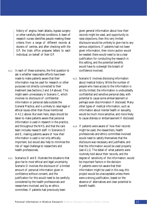history of angina, heart attacks, bypass surgery or other carefully defined conditions. A team of research nurses identifies people meeting these criteria from a range of different records at dozens of centres, and after checking with the GP, the trials office prepares letters to each individual, on behalf of their GP.

- 4.2.1 In each of these scenarios, the first question to ask is whether reasonable efforts have been made to make patients aware that their information may be used for research or other purposes not directly connected to their treatment (see Sections 2 and 3.4 above). This might seem unnecessary in Scenario C, which involves no disclosure of confidential information or personal data outside the General Practice, and is unlikely to raise legal or ethical issues other than those mentioned in 4.1.1 above. But even here, steps should be taken to make patients aware that personal information is used in research in the practice, and throughout the NHS, and that the care team includes research staff. In Scenarios D and E, making patients aware of how their information is used is not only ethically important, but would also help to minimise the risk of legal challenge to researchers and health professionals.
- 4.2.2 Scenarios  $D$  and  $E$  illustrate the situations that give rise to most ethical and legal uncertainty. Scenario D involves the disclosure of a limited amount of personal information given in confidence without consent, and the justification for this would need to be carefully considered by the health professionals and researchers involved, and by an ethics committee. If patients had previously been

given general information about how their records might be used, and opportunity to raise objections, then this very limited disclosure would be unlikely to give rise to any serious objections. If patients had not been given information, then more caution would be needed: there would need to be a clear justification for conducting the research in this setting, and the potential benefits would have to outweigh the breach of confidence involved.

- 4.2.3 Scenario E involves disclosing information about medical history. While the number of people who have access to the information is strictly limited, the information is undoubtedly confidential and sensitive personal data, with potential to cause some embarrassment or perhaps even discrimination if disclosed. Many other types of medical information, such as information about mental health or sexuality, would be much more sensitive, and more likely to cause distress or embarrassment if disclosed.
- 4.2.4 If patients were aware of how their records might be used, the researchers, health professionals and ethics committee involved would need to satisfy themselves that the disclosure was necessary and justifiable, and that the information would be used properly (see 4.1.1). The detail of what patients were routinely told about their records, and the degree of sensitivity of the information, would be important factors in the decision. If patients were not aware that their information might be used in this way, this project would be unacceptable unless there were a strong justification, based on the absence of alternatives and clear potential to benefit health.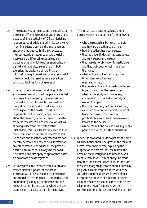- 4.2.5 The reasons why consent cannot be obtained at 4.2.8 the outset differ in Scenarios D and E. In D it is because of the practicality of GPs undertaking large amounts of additional administrative work, in writing letters, chasing and checking replies, and answering queries. In E direct access to medical records is needed to ensure the right people are identified using consistent and objective criteria, which requires appropriately trained and supervised researchers. In both scenarios, the disclosure of identifiable information might be reduced or even avoided if the study could be based in general practices with good facilities for doing research.
- The second ethical issue that studies of this sort raise is how to contact people in a way that is unlikely to cause worry or embarrassment. The first approach to people identified from medical records should normally involve a letter signed by the health professional responsible for their care giving information about the research, or accompanied by a letter from the researcher which does so. As well as showing respect for the doctor-patient relationship, this is a vital step in checking that the information on which the researcher acts is up to date, and that those approached are not recently bereaved or likely to be distressed for any other reason. The advice of the person's doctor in this area must always be followed. The same principles apply to approaches based on data from disease registries. 4.2.6
- It is acceptable for research teams to provide trained clerical support for the health professional, to prepare and distribute letters and related correspondence, if the clerical staff are bound by a duty of confidence, and the research cannot be in a setting where the care team has the capacity to do this themselves. 4.2.7
- The initial letters sent to patients should normally cover all, or some of the following:
	- why the research is being carried out, and how participation could help;
	- how the patient has been selected;
	- that the patient's doctor has considered, and fully supports, the study;
	- that there is no obligation to participate, and that their decision will not affect their care;
	- what will be involved i.e. in terms of time, interviews, treatment, examinations etc.;
	- the benefits (if any) that participants can hope to gain from the research, and whether the study will involve any commitment of time, discomfort, or risk on their part;
	- that confidentiality will be safeguarded;
	- a contact point in the medical / research team for queries or information. If practical, this would be someone already known to the person;
	- a reply form if the patient is willing to give permission without further discussion.
- When it is proposed to visit a patient at home, 4.2.9 advance notice should be given in the form of a letter from their doctor, explaining the purpose of the procedures, the reason, the name of the investigator, and how they will identify themselves. It must always be made clear that the patient is free to withdraw from the study at any stage. People should normally be given a simple response form with an SAE and adequate time to return it. Providing a Freephone number is also helpful. The care team or researchers should either confirm by telephone, or wait for positive written confirmation that the person is willing to meet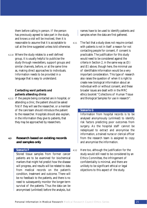them before calling in person. If the person has previously agreed to take part in the study, and knows a visit will be involved, then it is reasonable to assume that it is acceptable to call at the time suggested unless told otherwise.

Where the study relates to a well defined 4.2.10 group, it is usually helpful to publicise the study through newsletters, support groups and similar channels, before, or at the same time as, making direct approaches to individuals. Information needs to be provided in a language that is easy to understand.

### *Contacting ward patients and patients attending clinics*

If the people being contacted are in hospital, or 4.2.11 attending a clinic, the patient should be asked first if they will see the researcher, or a member of the care team should introduce the patient to the researcher. Hospitals should also explain, in the information they give to patients, that they may be approached by researchers.

#### **Research based on existing records and samples only 4.3**

#### *Scenario F*

Stored tissue samples from former cancer patients are to be examined for biochemical markers that might hel predict how the disease will progress, and results will be related to data from medical records on the patient's condition, treatment and outcome. There will be no feedback to the patients, and there is no need to subsequently monitor the longer-term survival of the patients. Thus the data can be anonymised (unlinked) before the analysis, but

names have to be used to identify patients and samples when the data are first gathered.

The fact that a study does not require contact with patients is not in itself a reason for not contacting people for consent, if consent is practicable. The justification for this study would need to be considered against the criteria in Section 2, in the same way as (D) and (E) above, though here, the minimal use of identifiable information would be a very important consideration. This type of research also raises the question of when it is right to create new biological information about an individual with or without consent, and these broader issues are dealt with in the MRC ethics booklet "Collections of Human Tissue and Biological Samples for use in research". 4.3.1

#### *Scenario G*

Information from hospital records is to be analysed anonymously (unlinked) to identify risk factors predicting poor outcomes from surgery. As the hospital staff cannot be redeployed to extract and anonymise the information, a trained nurse or clerical officer from the research team is assigned to copy and anonymise the information.

Here too, although the justification for the study would still need to be considered by an Ethics Committee, the infringement of confidentiality is minimal, and there are unlikely to be significant ethical or legal objections to this aspect of the study. 4.3.2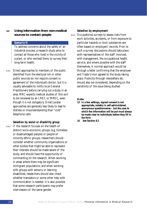#### **Using information from non-medical sources to contact people 4.4**

#### *Scenario H*

To address concerns about the safety of an industrial process, a research study aims to contact all those who lived in the vicinity of a plant, or who worked there, to survey their long-term health.

4.4.1 Direct approaches to members of the public identified from the electoral roll or other public sources do not require consent or agreement of the individual's doctor, but it is usually advisable to notify local General Practitioners before carrying out a study in an area. MRC expects medical studies of this sort to be reviewed by an LREC or MREC, even though it is not obligatory. Direct postal approaches are generally less likely to lead to distress or misunderstanding than "cold" telephone calls.

### *Selection by social or disability group*

4.4.2 If the research focuses on the health of distinct socio-economic groups (e.g. homeless or disadvantaged people) or people of minority ethnic groups, researchers should consider whether community organisations or other bodies that might be able to represent their interests should be made aware of the study, and should have the opportunity of commenting on the research. When working in areas where there may be significant immigrant populations, and when working with groups with sensory or learning disabilities, researchers should also check whether translators or some other help with communication is needed. It is also possible that some research participants may prefer interviewers of the same gender.

#### *Selection by employment*

Occupational surveys to assess risks from 4.4.3work activities, accidents, or from exposure to particular hazards or toxic substances are often based on employers' records. Prior to such a survey, discussions should take place with representatives of the staff involved, with management, the occupational health service, and where possible with the staff themselves. A normal approach would be through a letter confirming that the employer and Trade Union agreed to the study taking place. Publicity through newsletters etc. should also be considered, depending on the sensitivity of the issue being studied.

**Notes**

- **13 In a few settings, signed consent is not appropriate, notably in self-administered, anonymous questionnaires – but the uses to which the information will be put must always be made clear to individuals before they fill in the form**
- **14 See Section 8.2**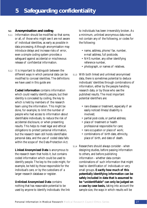#### **5.1 Anonymisation and coding**

- 5.1.1 Information should be modified so that some, or all, of those who might see it are not aware of individual identities, as early as possible in data processing. Although anonymisation may introduce delays and increase risks of error, even a simple coding system provides a safeguard against accidental or mischievous release of confidential information.
- 5.1.2 It is important to distinguish between the different ways in which personal data can be modified to conceal identities. The definitions we have used in this guide are:

**Coded information** contains information which could readily identify people, but their identity is concealed by coding, the key to which is held by members of the research team using the information. This might be done, for example, to limit the number of people who had access to information about identifiable individuals, to reduce the risk of accidental disclosure, or when presenting results. This helps to meet legal and ethical obligations to protect personal information, but the research team still holds identifiable personal data, and the use of coded data falls within the scope of the Data Protection Act.

**Linked Anonymised Data** is anonymous to the research team that holds it, but contains coded information which could be used to identify people. The key to the code might, for example, be held by those responsible for the individual's care, or by the custodians of a larger research database or register.

**Unlinked Anonymised Data** contains nothing that has reasonable potential to be used by anyone to identify individuals: the link to individuals has been irreversibly broken. As a minimum, unlinked anonymous data must not contain any of the following, or codes for the following:

- name, address, phone / fax. number, e-mail address, full postcode,
- NHS number, any other identifying reference number,
- photograph, or names of relatives.
- With both linked and unlinked anonymised 5.1.3 data, there is sometimes potential to deduce individuals' identities through combinations of information, either by the people handling research data, or by those who see the published results. The most important potential identifiers are:
	- rare disease or treatment, especially if an easily noticed illness/disability is involved;
	- partial post-code, or partial address;
	- place of treatment or health professional responsible for care;
	- rare occupation or place of work;
	- combinations of birth date, ethnicity, place of birth, and date of death.
- Researchers should always consider when 5.1.4designing studies, before passing information to others, and before publishing information - whether data contain combinations of such information that might lead to identification of individuals or very small groups. **Exactly how much of this potentially identifying information can be safely included in data that is assumed to be "unidentifiable" can only be judged on a case by case basis,** taking into account the sample size, the ways in which results will be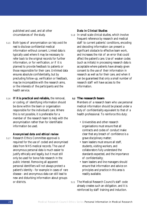published and used, and all other circumstances of the study.

- Both types of anonymisation *can help avoid the* 5.1.5 *need to* disclose confidential medical information without consent. Linked data is typically used where it may be necessary to refer back to the original records for further information, or for verification, or if it is planned to provide feedback to patients or those responsible for their care. Unlinked data ensures absolute confidentiality, but by precluding follow-up, verification or feedback, may be incompatible with the research aims, or the interests of the participants and the health service.
- **If it is practical and reliable,** the removal, 5.1.6 or coding, of identifying information should be done within the team or organisation responsible for the individual's care. Where this is not possible, it is preferable for a member of the research team to help with the anonymisation rather than for identifiable information be used.

### *Anonymised data and ethical review*

Research Ethics Committee approval is 5.1.7 required for the use of coded and anonymised data from NHS medical records. The use of anonymous personal data is much easier to justify ethically and legally, but it must still only be used for bona fide research in the public interest. Removing all apparent personal identifiers will not always protect a patient's identity - for example in cases of rare disease - and anonymous data can still lead to new and disturbing information about groups or districts.

### *Data in Clinical Studies*

5.1.8 In small scale clinical studies, which involve frequent reference by research and medical staff to current patients' conditions, encoding and decoding information can present a significant obstacle to effective team work, and increases the risk of an error that could affect the patient's care. Use of weaker codes (such as initials) in processing research data is acceptable where patients have already given consent to the use of their information in research as well as for their care, and when it can be guaranteed that only a small number of research staff will have access to the information.

#### **The research team 5.2**

Members of a research team who use personal medical information should be placed under a duty of confidentiality equivalent to that of a health professional. To reinforce this duty:

- Universities and other research organisations must ensure that all contracts and codes of conduct make clear that any breach of confidence is a grave disciplinary matter;
- team leaders must ensure all staff, students, visiting workers, and collaborators fully understand the standards expected, and the importance of confidentiality;
- team leaders and line managers should ensure that information and advice on principles and practice in this area is readily available.
- The Medical Research Council's staff code 5.2.1 already creates such an obligation, and it is reinforced by staff training and induction.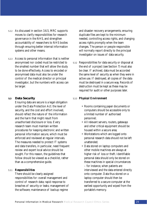- As discussed in section 3.6.5, MRC supports 5.2.2 moves to clarify responsibilities for research governance in the NHS, and strengthen accountability of researchers to NHS bodies through ensuring better internal information systems and other means.
- Access to personal information that is neither 5.2.3 anonymised nor coded must be restricted to the smallest number that will allow the study to be done effectively. Access to encoded or anonymised data must also be under the control of the medical director or principal investigator, but the numbers with access can be larger.

#### **Data Security 5.3**

Ensuring data are secure is a legal obligation under the Data Protection Act: the level of security, and the cost and effort involved, should reflect the nature of the information and the harm that might result from unauthorised disclosure or loss. Every research team must maintain written procedures for keeping electronic and written personal information secure, which must be enforced and reviewed at regular intervals. The measures needed to protect IT systems and data transfers, in particular, need frequent review and expert local advice should be sought. For this reason, the guidelines that follow should be viewed as a checklist, rather than as a comprehensive guide.

### *Responsibilities*  5.3.1

There should be clearly assigned responsibilities for: overall management and control of research data; rapid response to breaches of security or leaks; management of the software; maintenance of backup regime

and disaster recovery arrangements; ensuring duplicate files are kept to the minimum needed, controlling access rights, and changing access rights promptly when the team changes. The person or people responsible will normally report directly to the principal investigator on issues of data security.

Responsibilities for data security or disposal at 5.3.2 the end of a project (see Section 7) must also be clear. If archived, data must be accorded the same level of security as when they were in active use. If destroyed, all copies of the data must be destroyed in a secure way. Records of destruction must be kept as these may be required for audit or other purposes later.

### *Physical Environment* 5.3.3

- Rooms containing paper documents or computers should be accessible only to a limited number of authorised personnel;
- All relevant servers, routers, gateways and other critical equipment should be housed within a secure area;
- Workstations which are logged onto personal research data should not be left unattended;
- Data stored on laptop computers and other mobile machines are always at higher risk of loss or theft. Identifiable personal data should only be stored on these machines in special circumstances – for instance, when patients are interviewed and the data entered directly onto computer. Data thus stored on a laptop computer should then be transferred to a secure computer at the earliest opportunity and wiped from the portable's memory.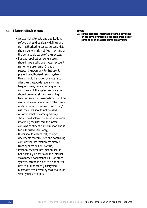#### *Electronic Environment* 5.3.4

- Access rights to data and applications software should be clearly defined and staff authorised to access personal data should be formally notified in writing of the permissible scope of their access;
- For each application, system users should have a valid user system account name, i.e. a username ID, and a password known only to that user to prevent unauthorised use of systems. Users should be forced by systems to alter their passwords regularly – the frequency may vary according to the constraints of the system software but should be aimed at maintaining high levels of security. Passwords must not be written down or shared with other users under any circumstances. "Temporary" user accounts should not be used;
- A confidentiality warning message should be displayed on entering systems, informing the user that the system contains confidential information and is for authorised users only;
- Users should ensure that, at log-off, documents recently used and containing confidential information are cleared from applications on start up;
- Personal medical information should not normally be sent over the Internet via attached documents, FTP, or other systems. Where this has to be done, the data should be reliably encrypted. Databases transferred by mail should be sent by registered post.

#### **Notes**

**15 In the accepted information technology sense of the term, overcoming the accidental loss of some or all of the data stored on a system**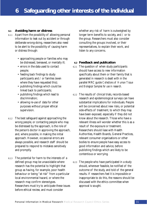#### **Avoiding harm or distress 6.1**

- Apart from the possibility of allowing personal information to leak out by accident or through deliberate wrong-doing, researchers also need to be alert to the possibility of causing harm or distress through: 6.1.1
	- approaching people or families who may be distressed, bereaved, or mentally ill;
	- errors in the data used to contact people;
	- feeding back findings to study participants and / or families (even where they have requested this);
	- publishing findings which could be linked back to participants;
	- publishing findings which lead to discrimination;
	- allowing re-use of data for other purposes without proper ethical supervision.
- The best safeguard against approaching the 6.1.2 wrong people, or contacting people who may be distressed by the approach, is the role of the person's doctor in approving the approach, and, where possible, in making the initial approach. However, occasional errors are always possible, and research staff should be prepared to respond to mistakes sensitively and promptly.
- The potential for harm to the interests of a 6.1.3 defined group may be unavoidable where research has the potential to highlight that group as having, for example, poor health behaviour or being "at risk" from a particular local environmental hazard, or where the research may confirm stereotypes. Researchers must try to anticipate these issues before ethical review, and must consider

whether any risk of harm is outweighed by longer term benefits to society, and / or to the group. Researchers must also consider consulting the groups involved, or their representatives, to explain their work, and listen to any concerns.

- **Feedback and publication 6.2**
- The question of when study participants 6.2.1 should have access to new information specifically about them or their family that is generated in research is dealt with in the parallel MRC guide *Collections of Human Tissue and Biological Samples for use in research.*
- The results of clinical trials, records-based 6.2.2 research and epidemiological surveys can have substantial implications for individuals. People will be concerned about new risks, or potential side-effects of treatment, to which they may have been exposed, especially if they did not know about the research. Those who have a relevant illness will wonder whether this is as a result of the exposure or treatment. Researchers should liase with Health Authorities, Health Boards, General Practices, relevant consumer organisations or other bodies to ensure people have easy access to good information and advice, before publishing findings which are likely to be contentious or worrying.
- The people who have participated in a study 6.2.3should, wherever feasible, be notified of the outcome of the study, and told of the general results. If researchers feel it is impossible or inappropriate to do this, the reasons should be discussed with the ethics committee when approval is sought.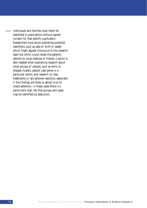Individuals and families must never be 6.2.4identified in publications without signed consent for that specific publication. Researchers must avoid publishing potential identifiers, such as date of birth or death, which might appear innocuous to the research team but which could reveal the patient's identity to close relatives or friends. Caution is also needed when publishing research about small groups of people, such as work on disease clusters, patient case series in a particular centre, and research on new treatments or rare adverse reactions, especially if the findings are likely to attract a lot of media attention. In these cases there is a particularly high risk that groups and cases may be identified by deduction.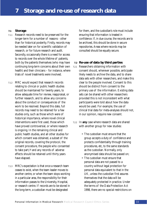#### **Storage 7.1**

- Research records need to be preserved for the longer-term for a number of reasons - other than for historical posterity. Firstly, records may be needed later on for scientific validation of research, or for future research and audit. Secondly, occasionally there is a need for access to records over the whole lifetime of patients, both by the patients themselves (who may have continuing long-term concerns about their own health) and their clinicians – for instance, where trials of novel treatments were involved. 7.1.1
- MRC would expect that research records 7.1.2 relating to clinical or public health studies should be maintained for twenty years, to allow adequate time for review, reappraisal, or further research, and to allow any concerns about the conduct or consequences of the work to be resolved. Beyond this date, full records may need to be retained for a few studies only, such as those which were of historical importance, where novel clinical interventions were first used, those which have proved controversial, or where research is ongoing. In the remaining clinical and public health studies, and all other studies for which consent was obtained, a subset of the original records, covering the protocol, the consent procedure, the people who consented to take part,16 and any records of adverse effects should be retained until thirty years have elapsed.
- MRC's expectation is that once a research team 7.1.3 ceases to exist, when the team leader moves to another centre, or when the team stops working in a particular area, the responsibility for their information passes to the University, Hospital, or research centre. If records are to be stored in the long-term, a custodian must be designated

for them, and the custodian's role must include ensuring that information is treated in confidence. If, in due course, the records are to be archived, this should be done in secure repositories. Areas where records may be consulted should be equally secure.

### **Re-use of data by third parties 7.2**

- Researchers obtaining information with consent should, wherever possible, anticipate likely needs to archive the data, and to share data sets with other researchers, and make this clear to the people involved. Consent to this should be distinct from consent to the primary use of the information. Existing data sets can be shared with other researchers provided this is not inconsistent with what participants were told about how the data would be used. For example, the use of clinical trial data for meta-analyses should not, in our opinion, require new consent. 7.2.1
- 7.2.2 In **any** case where research data are shared with another group for new studies:
	- The custodian must ensure that the group accepts a duty of confidence and protects confidentiality through training procedures, etc, to the same standards as the custodian. Normally, only anonymised data should be passed on;
	- The custodian must ensure that personal data are not passed to a country without legal protection for personal data equivalent to that in the UK, unless the custodian first assures themselves that the data will be adequately protected in practice. Under the terms of the Data Protection Act 1998, there are no special restrictions on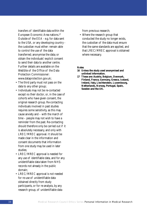transfers of identifiable data within the European Economic Area nations.17 Outside of the EEA - e.g. for data sent to the USA, or any developing country the custodian must either: remain able to control the use of the data transferred; anonymise the data; or obtain the individuals' explicit consent to send their data to another centre. Further details are available on the WebSite of the Office of the Data Protection Commissioner: www.dataprotection.gov.uk;

- The third party must not pass on the data to any other group;
- Individuals may not be re-contacted except *via* their doctor, or, in the case of cohorts who have given consent, the original research group. Re-contacting individuals involved in past studies requires some sensitivity, as this may cause anxiety and – with the march of time – people may not wish to have a reminder from the past. Re-contacting should therefore only be carried out if it is absolutely necessary, and only with LREC/MREC approval. It should be made clear in the information and consent documents that information from one study may be used in later studies;
- LREC/MREC approval is needed for any use of identifiable data, and for any unidentifiable data taken from NHS records not already in the public domain;
- LREC/MREC approval is not needed for re-use of unidentifiable data obtained directly from study participants, or for re-analysis, by any research group, of unidentifiable data

from previous research;

• Where the research group that conducted the study no longer exists, the custodian of the data must ensure that the same standards are applied, and that LREC/MREC approval is obtained where necessary.

#### **Notes**

- **16 Unless the study used anonymised and unlinked information.**
- **17 These are: Austria, Belgium, Denmark, Finland, France, Germany, Greece, Iceland, Ireland, Italy, Liechtenstein, Luxembourg, Netherlands, Norway, Portugal, Spain, Sweden and the UK.**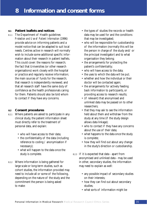#### **Patient leaflets and notices 8.1**

The Department of Health guidelines *Protection and Use of Patient Information* (1996) provide advice on informing patients and a model notice that can be adapted to suit local needs. Centres active in research will normally wish to include some additional specific information about their research in patient leaflets. This could cover: the reasons for research: the fact that Universities (or other research organisations) work closely with the hospital or practice and regularly receive information; the main sources of funds for the research; that research is independently reviewed; and that all research staff have the same duty of confidence as the health professionals caring for them. Patients should also be told whom to contact if they have any concerns. 8.1.1

#### **Consent procedures 8.2**

- Where patients are asked to participate in any clinical study, the patient information sheet must directly refer to the treatment of personal data, and explain: 8.2.1
	- who will have access to their data;
	- the confidentiality of the data (including reference to coding / anonymisation if necessary);
	- what will happen to the data once the study is complete.
- Where information is being gathered for 8.2.2 large scale or long-term studies, such as cohort studies, the information provided may need to include all or some of the following, depending on the nature of the study and the commitment the person is being asked to make:
- the types of studies the records or health data may be used for and the conditions that may be investigated;
- who will be responsible for custodianship of the information (normally this will be the person in charge of the study and/ or the principal investigator) and to what organisation they belong;
- the arrangements for protecting the patient's confidentiality;
- who will have access to the data;
- the uses to which the data will be put;
- whether and how the individual or their doctor will be contacted again;
- the arrangements for actively feeding back information to participants, or providing access to research results;
- (if relevant) that anonymised and unlinked data may be passed on to other researchers;
- that they may ask to see the information held about them and withdraw from the study at any time (if the study design allows data linkage);
- who to contact if they have any concerns about the use of their data;
- what happens to the data once the study is complete;
- how they will find out about any change in the study's direction or custodianship.
- 8.2.3 If it is expected that data apart from anonymised and unlinked data - may be used in other, secondary studies, the information may need to explain as well:
	- any possible impact of secondary studies on their interests;
	- how they can find out about secondary studies;
	- what sorts of information might be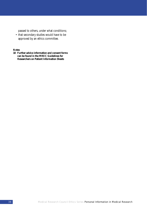passed to others, under what conditions;

• that secondary studies would have to be approved by an ethics committee.

#### **Notes**

**18 Further advice information and consent forms can be found in the MREC Guidelines for Researchers on Patient Information Sheets**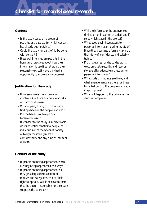# **Annex 1 Checklist for records-based research**

## **Context**

- Is the study based on a group of patients, or a data set, for which consent has already been obtained?
- Could the study (or parts of it) be done with consent ?
- How well informed are patients in the hospitals / practices about how their information is used? What would they reasonably expect? Have they had an opportunity to express any concerns?

# **Justification for the study**

- How sensitive is the information involved? Are there any particular risks of harm or distress?
- What impact, if any, could the study findings have on the people involved?
- Do the benefits outweigh any foreseeable risks?
- If consent to the study is impracticable, do its potential benefits to people, as individuals or as members of society, outweigh the infringement of confidentiality, and any risks of harm or distress?

# **Conduct of the study**

- If people are being approached, when are they being approached and why?
- If people are being approached, will they get adequate explanation of motives and safeguards, and of their right to opt out. Will it be clear to them that the doctor responsible for their care supports the approach?
- Will the information be anonymised (linked or unlinked) or encoded, and if so at which stage in the project?
- What people will have access to personal information during the study? Have they been made formally aware of their duty of confidence, and suitably trained?
- Do procedures for day to day work, electronic data security, and records storage offer adequate protection for personal information?
- What sorts of findings are likely, and what arrangements are there for these to be fed back to the people involved if appropriate?
- What will happen to the data after the study is complete?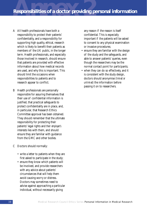- A All health professionals have both a responsibility to protect their patients' confidentiality, and a responsibility for supporting high quality, ethical, research which is likely to benefit their patients as members of the UK public, in the longer term. Health professionals, and especially those involved in research, should ensure that patients are provided with effective information about how medical records are used, and why this is important. This should limit the occasions when responsibilities to patients and to research appear to conflict.
- B Health professionals are personally responsible for assuring themselves that their use of confidential information is justified, that practical safeguards to protect confidentiality are in place, and, in particular, that Research Ethics Committee approval has been obtained. They should remember that the ultimate responsibility for protecting their patients' legal rights and *their employer's* interests lies with them, and should ensure they are familiar with guidance from the GMC and other bodies.
- C Doctors should normally:
	- write a letter to patients when they are first asked to participate in the study;
	- ensure they know which patients will be involved, and provide researchers with any advice about patients' circumstances that will help them avoid causing worry or distress. Doctors may sometimes need to advise against approaching a particular individual, without necessarily giving

any reason if the reason is itself confidential. This is especially important if the patients will be asked to consent to any physical examination or invasive procedures;

- ensure they are familiar with the design of the study and the safeguards, and able to answer patients' queries, even though the researchers may be the normal contact point for participants;
- when they can do so effectively, and it is consistent with the study design, doctors should anonymise *(linked or unlinked)* the information before passing it on to researchers.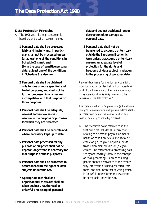### **Data Protection Principles**

- A The 1998 Act, like its predecessor, is based around a set of core principles.
	- **1 Personal data shall be processed fairly and lawfully and, in particular, shall not be processed unless: (a) at least one of the conditions in Schedule 2 is met, and (b) in the case of sensitive personal data, at least one of the conditions in Schedule 3 is also met.**
	- **2 Personal data shall be obtained only for one or more specified and lawful purposes, and shall not be further processed in any manner incompatible with that purpose or those purposes.**
	- **3 Personal data shall be adequate, relevant and not excessive in relation to the purpose or purposes for which they are processed.**
	- **4 Personal data shall be accurate and, where necessary, kept up to date.**
	- **5 Personal data processed for any purpose or purposes shall not be kept for longer than is necessary for that purpose or those purposes.**
	- **6 Personal data shall be processed in accordance with the rights of data subjects under this Act.**
	- **7 Appropriate technical and organisational measures shall be taken against unauthorised or unlawful processing of personal**

**data and against accidental loss or destruction of, or damage to, personal data.**

**8 Personal data shall not be transferred to a country or territory outside the European Economic Area unless that country or territory ensures an adequate level of protection for the rights and freedoms of data subject in relation to the processing of personal data.**

*Personal data means "data which relate to a living individual who can be identified (a) from those data), or, (b) from those data and other information which is in the possession of, or is likely to come into the possession of, the data controller."*

*The "data controller" is "a person who (either alone or jointly or in common with other persons) determines the purposes forwhich, and the manner in which any personal data are, or are to be, processed."*

B The "sensitive data" referred to in the first principle includes all information relating to a person's physical or mental health or condition, sexual life, racial or ethnic origin, religious or *political beliefs,* trade union membership, or (alleged) crimes. The references to processing data "fairly and lawfully" draw in the concept of "fair processing" (such as ensuring people are not deceived as to the reasons why information is being collected from them) and also mean that anything which is unlawful under Common Law, cannot be acceptable under the Act.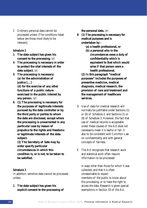C Ordinary personal data cannot be processed unless: (The conditions listed below are those most likely to be relevant).

### *Schedule 2*

- **1 The data subject has given his consent to the processing.** *(or)*
- **4 The processing is necessary in order to protect the vital interests of the data subject.** *(or)*
- **5 The processing is necessary: (a) for the administration of justice […]**

**(d) for the exercise of any other functions of a public nature exercised in the public interest by any person.** *(or)*

**6 (1) The processing is necessary for the purposes of legitimate interests pursued by the data controller or by the third party or parties to whom the data are disclosed, except where the processing is unwarranted in any particular case by reason of prejudice to the rights and freedoms or legitimate interests of the data subject.**

**(2) The Secretary of Sate may by order specify particular circumstances in which this condition is, or is not, to be taken to be satisfied.**

#### *Schedule 3*

In addition, sensitive data cannot be processed unless:

**1 The data subject has given his explicit consent to the processing of** **the personal data.** *(or)*

- **8 (1) The processing is necessary for medical purposes and is undertaken by :**
	- **(a) a health professional, or**
	- **(b) a personal who in the circumstances owes a duty of confidentiality which is equivalent to that which would arise if that person were a health professional.**

**(2) In this paragraph "medical purposes" includes the purposes of preventive medicine, medical diagnosis, medical research, the provision of care and treatment and the management of healthcare services.**

- D Use of data for medical research will normally be justifiable under Sections (1) or (6) of Schedule 2, and Sections (1) or (8) of Schedule 3. However, the fact that use of medical records is acceptable under these clauses of the Act does not necessarily mean it is lawful or fair: it also to be consistent with Common Law on confidentiality, and with general concepts of fairness.
- E The Act recognises that research work and statistical work often require information to be processed

in ways other than those for which it was collected, and that it is often unreasonable to expect members of the public to know about this processing, or to have the right to access the data. Research is given special exemptions in Section 33 of the Act.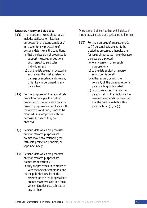### *Research, history and statistics*

- 33(1) In this section, "research purposes" includes statistical or historical purposes; "the relevant conditions" in relation to any processing of personal data means the conditions:
	- (a) that the data are not processed to support measures or decisions with respect to particular individuals, and
	- (b) that the data are not processed in such a way that that substantial damage or substantial distress is, or is likely to be, caused to any data subject.
- 33(2) For the purposes of the second data protection principle, the further processing of personal data only for research purposes in compliance with the relevant conditions, is not to be regarded as incompatible with the purposes for which they are obtained.
- 33(3) Personal data which are processed only for research purposes are exempt may, notwithstanding the fifth data protection principle, be kept indefinitely.
- 33(4) Personal data which are processed only for research purposes are exempt from section 7 if -
	- (a) they are processed in compliance with the relevant conditions, and
	- (b) the published results of the research or any resulting statistics are not made available in a form which identifies data subjects or any of them.

### *(Note: Section 7 of the Act deals with individuals' right to access the data that organisations hold on them)*

- 33(5) For the purposes of subsections (2) to (4) personal data are not to be treated as processed otherwise than for research purposes merely because the data are disclosed:
	- (a) to any person, for research purposes only
	- (b) to the data subject or a person acting on his behalf
	- (c) at the request, or with the consent, of the data subject or a person acting on his behalf
	- (d) in circumstances in which the person making the disclosure has reasonable grounds for believing that the disclosure falls within paragraph (a), (b), or (c).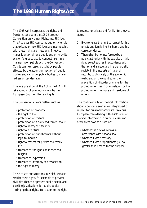The 1998 Act incorporates the rights and freedoms set out in the 1950 European Convention on Human Rights into UK law. The Act gives UK courts the authority to rule that existing or new UK laws are incompatible with these rights and freedoms. The Act makes it unlawful for a public authority, by its acts or failures to act, to conduct itself in a manner incompatible with the Convention. Courts can hear cases brought by people affected by the actions or inaction of public bodies, and can order public bodies to make redress or pay damages.

The interpretation of the Act in the UK will take account of previous rulings by the European Court of Human Rights.

The Convention covers matters such as:

- protection of property
- the right to life
- prohibition of torture
- prohibition of slavery and forced labour
- right to liberty and security
- right to a fair trial
- prohibition of punishments without legal foundation
- right to respect for private and family life
- freedom of thought, conscience and religion
- freedom of expression
- freedom of assembly and association
- the right to marry

The Act sets out situations in which laws can restrict these rights, for example to prevent civil disturbance or protect public health, and possible justifications for public bodies infringing these rights. In relation to the right to respect for private and family life, the Act states:

- 1 Everyone has the right to respect for his private and family life, his home, and his correspondence.
- 2 There shall be no interference by a public authority with the exercise of this right except such as in accordance with the law and is necessary in a democratic society in the interests of national security, public safety or the economic well-being of the country, for the prevention of disorder or crime, for the protection of health or morals, or for the protection of the rights and freedoms of others.

The confidentiality of medical information about a person is seen as an integral part of respect for privatand family life. Previous European cases dealing with disclosures of medical information in criminal cases and other areas have focussed on:

- whether the disclosure was in accordance with national law
- whether it was necessary
- whether it was proportionate (i.e. no greater than needed for the purpose).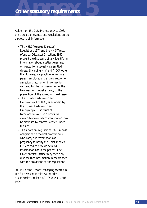Aside from the Data Protection Act 1998, there are other statutes and regulations on the disclosure of information:

- The NHS (Venereal Diseases) Regulations 1974 and the NHS Trusts (Venereal Diseases) Directions 1991, prevent the disclosure of any identifying information about a patient examined or treated for a sexually transmitted disease (including HIV and AIDS) other than to a medical practitioner (or to a person employed under the direction of a medical practitioner) in connection with and for the purpose of either the treatment of the patient and/or the prevention of the spread of the disease.
- The Human Fertilisation and Embryology Act 1990, as amended by the Human Fertilisation and Embryology (Disclosure of Information) Act 1992, limits the circumstances in which information may be disclosed by centres licensed under the Act.
- The Abortion Regulations 1991 impose obligations on medical practitioners who carry out terminations of pregnancy to notify the Chief Medical Officer and to provide detailed information about the patient. The Chief Medical Officer may then only disclose that information in accordance with the provisions of the regulations.

*Source:* 'For the Record: managing records in NHS Trusts and Health Authorities', *Health Service Circular HSC 1999/053 (March 1999)*.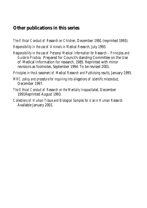# **Other publications in this series**

*The Ethical Conduct of Research on Children,* December 1991 (reprinted 1993). *Responsibility in the use of Animals in Medical Research,* July 1993.

*Responsibility in the use of Personal Medical Information for Research – Principles and Guide to Practice,* Prepared for Council's standing Committee on the Use of Medical Information for research, 1985. Reprinted with minor revisions as footnotes, September 1994. To be revised 2001.

*Principles in the Assessment of Medical Research and Publicising results,* January 1995.

*MRC policy and procedure for inquiring into allegations of scientific misconduct,* December 1997.

- *The Ethical Conduct of Research on the Mentally Incapacitated,* December 1991Reprinted August 1993.
- *Collections of Human Tissue and Biological Samples for Use in Human Research.* Available January 2001.